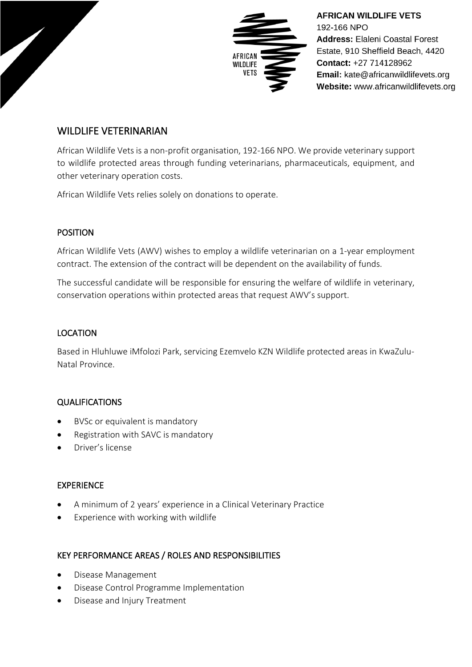

**AFRICAN WILDLIFE VETS** 192-166 NPO **Address: Elaleni Coastal Forest** Estate, 910 Sheffield Beach, 4420 Contact: +27 714128962 Email: kate@africanwildlifevets.org Website: www.africanwildlifevets.org

# WILDLIFE VETERINARIAN

African Wildlife Vets is a non-profit organisation, 192-166 NPO. We provide veterinary support to wildlife protected areas through funding veterinarians, pharmaceuticals, equipment, and other veterinary operation costs.

African Wildlife Vets relies solely on donations to operate.

#### POSITION

African Wildlife Vets (AWV) wishes to employ a wildlife veterinarian on a 1-year employment contract. The extension of the contract will be dependent on the availability of funds.

The successful candidate will be responsible for ensuring the welfare of wildlife in veterinary, conservation operations within protected areas that request AWV's support.

## LOCATION

Based in Hluhluwe iMfolozi Park, servicing Ezemvelo KZN Wildlife protected areas in KwaZulu-Natal Province.

## QUALIFICATIONS

- BVSc or equivalent is mandatory
- Registration with SAVC is mandatory
- Driver's license

## EXPERIENCE

- A minimum of 2 years' experience in a Clinical Veterinary Practice
- **Experience with working with wildlife**

## KEY PERFORMANCE AREAS / ROLES AND RESPONSIBILITIES

- Disease Management
- Disease Control Programme Implementation
- Disease and Injury Treatment